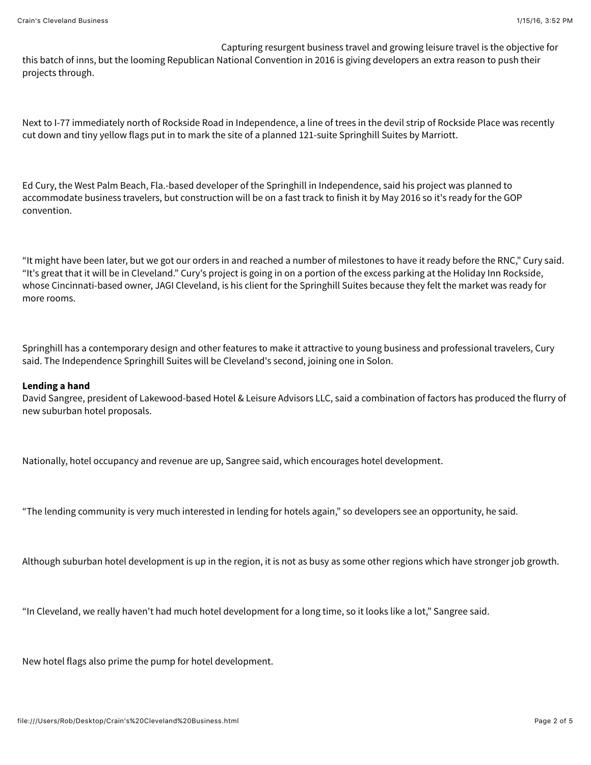Capturing resurgent business travel and growing leisure travel is the objective for

this batch of inns, but the looming Republican National Convention in 2016 is giving developers an extra reason to push their projects through.

Next to I-77 immediately north of Rockside Road in Independence, a line of trees in the devil strip of Rockside Place was recently cut down and tiny yellow flags put in to mark the site of a planned 121-suite Springhill Suites by Marriott.

Ed Cury, the West Palm Beach, Fla.-based developer of the Springhill in Independence, said his project was planned to accommodate business travelers, but construction will be on a fast track to finish it by May 2016 so it's ready for the GOP convention.

"It might have been later, but we got our orders in and reached a number of milestones to have it ready before the RNC," Cury said. "It's great that it will be in Cleveland." Cury's project is going in on a portion of the excess parking at the Holiday Inn Rockside, whose Cincinnati-based owner, JAGI Cleveland, is his client for the Springhill Suites because they felt the market was ready for more rooms.

Springhill has a contemporary design and other features to make it attractive to young business and professional travelers, Cury said. The Independence Springhill Suites will be Cleveland's second, joining one in Solon.

## **Lending a hand**

David Sangree, president of Lakewood-based Hotel & Leisure Advisors LLC, said a combination of factors has produced the flurry of new suburban hotel proposals.

Nationally, hotel occupancy and revenue are up, Sangree said, which encourages hotel development.

"The lending community is very much interested in lending for hotels again," so developers see an opportunity, he said.

Although suburban hotel development is up in the region, it is not as busy as some other regions which have stronger job growth.

"In Cleveland, we really haven't had much hotel development for a long time, so it looks like a lot," Sangree said.

New hotel flags also prime the pump for hotel development.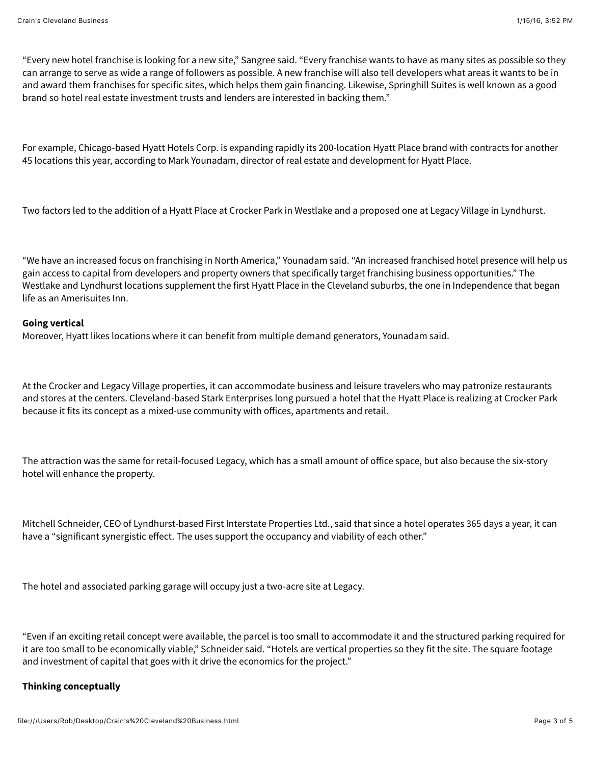"Every new hotel franchise is looking for a new site," Sangree said. "Every franchise wants to have as many sites as possible so they can arrange to serve as wide a range of followers as possible. A new franchise will also tell developers what areas it wants to be in and award them franchises for specific sites, which helps them gain financing. Likewise, Springhill Suites is well known as a good brand so hotel real estate investment trusts and lenders are interested in backing them."

For example, Chicago-based Hyatt Hotels Corp. is expanding rapidly its 200-location Hyatt Place brand with contracts for another 45 locations this year, according to Mark Younadam, director of real estate and development for Hyatt Place.

Two factors led to the addition of a Hyatt Place at Crocker Park in Westlake and a proposed one at Legacy Village in Lyndhurst.

"We have an increased focus on franchising in North America," Younadam said. "An increased franchised hotel presence will help us gain access to capital from developers and property owners that specifically target franchising business opportunities." The Westlake and Lyndhurst locations supplement the first Hyatt Place in the Cleveland suburbs, the one in Independence that began life as an Amerisuites Inn.

## **Going vertical**

Moreover, Hyatt likes locations where it can benefit from multiple demand generators, Younadam said.

At the Crocker and Legacy Village properties, it can accommodate business and leisure travelers who may patronize restaurants and stores at the centers. Cleveland-based Stark Enterprises long pursued a hotel that the Hyatt Place is realizing at Crocker Park because it fits its concept as a mixed-use community with ofices, apartments and retail.

The attraction was the same for retail-focused Legacy, which has a small amount of ofice space, but also because the six-story hotel will enhance the property.

Mitchell Schneider, CEO of Lyndhurst-based First Interstate Properties Ltd., said that since a hotel operates 365 days a year, it can have a "significant synergistic effect. The uses support the occupancy and viability of each other."

The hotel and associated parking garage will occupy just a two-acre site at Legacy.

"Even if an exciting retail concept were available, the parcel is too small to accommodate it and the structured parking required for it are too small to be economically viable," Schneider said. "Hotels are vertical properties so they fit the site. The square footage and investment of capital that goes with it drive the economics for the project."

## **Thinking conceptually**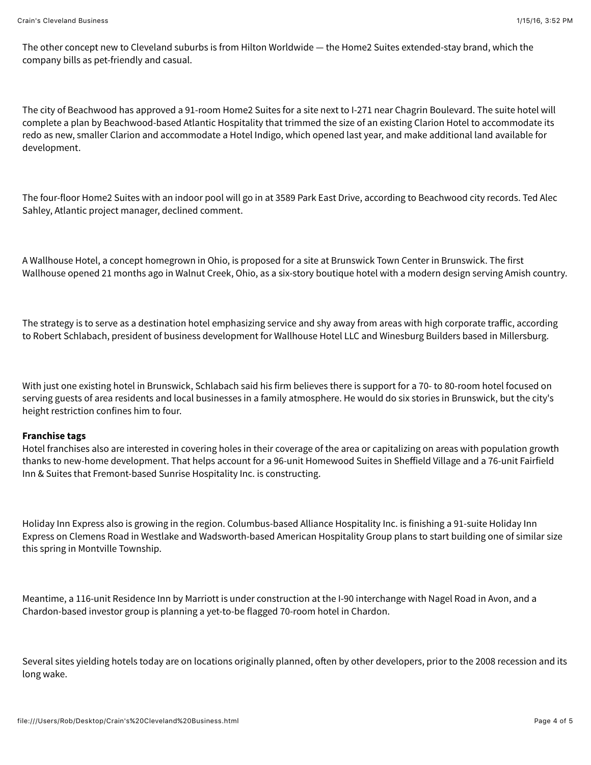The other concept new to Cleveland suburbs is from Hilton Worldwide — the Home2 Suites extended-stay brand, which the company bills as pet-friendly and casual.

The city of Beachwood has approved a 91-room Home2 Suites for a site next to I-271 near Chagrin Boulevard. The suite hotel will complete a plan by Beachwood-based Atlantic Hospitality that trimmed the size of an existing Clarion Hotel to accommodate its redo as new, smaller Clarion and accommodate a Hotel Indigo, which opened last year, and make additional land available for development.

The four-floor Home2 Suites with an indoor pool will go in at 3589 Park East Drive, according to Beachwood city records. Ted Alec Sahley, Atlantic project manager, declined comment.

A Wallhouse Hotel, a concept homegrown in Ohio, is proposed for a site at Brunswick Town Center in Brunswick. The first Wallhouse opened 21 months ago in Walnut Creek, Ohio, as a six-story boutique hotel with a modern design serving Amish country.

The strategy is to serve as a destination hotel emphasizing service and shy away from areas with high corporate trafic, according to Robert Schlabach, president of business development for Wallhouse Hotel LLC and Winesburg Builders based in Millersburg.

With just one existing hotel in Brunswick, Schlabach said his firm believes there is support for a 70- to 80-room hotel focused on serving guests of area residents and local businesses in a family atmosphere. He would do six stories in Brunswick, but the city's height restriction confines him to four.

## **Franchise tags**

Hotel franchises also are interested in covering holes in their coverage of the area or capitalizing on areas with population growth thanks to new-home development. That helps account for a 96-unit Homewood Suites in Shefield Village and a 76-unit Fairfield Inn & Suites that Fremont-based Sunrise Hospitality Inc. is constructing.

Holiday Inn Express also is growing in the region. Columbus-based Alliance Hospitality Inc. is finishing a 91-suite Holiday Inn Express on Clemens Road in Westlake and Wadsworth-based American Hospitality Group plans to start building one of similar size this spring in Montville Township.

Meantime, a 116-unit Residence Inn by Marriott is under construction at the I-90 interchange with Nagel Road in Avon, and a Chardon-based investor group is planning a yet-to-be flagged 70-room hotel in Chardon.

Several sites yielding hotels today are on locations originally planned, often by other developers, prior to the 2008 recession and its long wake.